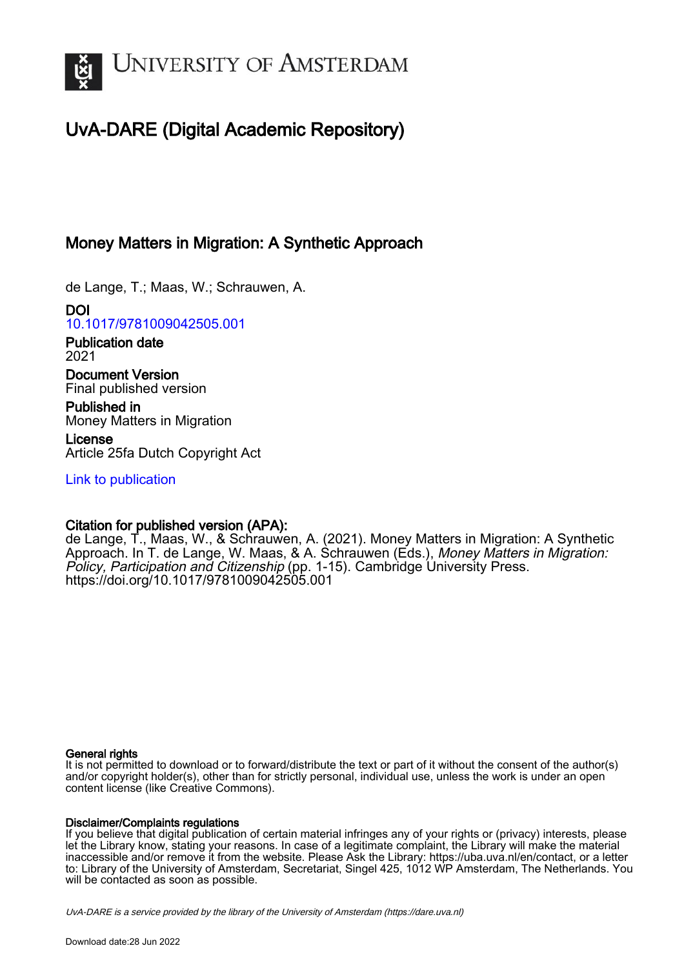

# UvA-DARE (Digital Academic Repository)

## Money Matters in Migration: A Synthetic Approach

de Lange, T.; Maas, W.; Schrauwen, A.

DOI [10.1017/9781009042505.001](https://doi.org/10.1017/9781009042505.001)

Publication date 2021

Document Version Final published version

Published in Money Matters in Migration

License Article 25fa Dutch Copyright Act

[Link to publication](https://dare.uva.nl/personal/pure/en/publications/money-matters-in-migration-a-synthetic-approach(94dffad6-a0ca-40d9-ad64-8bfc129d3052).html)

### Citation for published version (APA):

de Lange, T., Maas, W., & Schrauwen, A. (2021). Money Matters in Migration: A Synthetic Approach. In T. de Lange, W. Maas, & A. Schrauwen (Eds.), *Money Matters in Migration:* Policy, Participation and Citizenship (pp. 1-15). Cambridge University Press. <https://doi.org/10.1017/9781009042505.001>

#### General rights

It is not permitted to download or to forward/distribute the text or part of it without the consent of the author(s) and/or copyright holder(s), other than for strictly personal, individual use, unless the work is under an open content license (like Creative Commons).

#### Disclaimer/Complaints regulations

If you believe that digital publication of certain material infringes any of your rights or (privacy) interests, please let the Library know, stating your reasons. In case of a legitimate complaint, the Library will make the material inaccessible and/or remove it from the website. Please Ask the Library: https://uba.uva.nl/en/contact, or a letter to: Library of the University of Amsterdam, Secretariat, Singel 425, 1012 WP Amsterdam, The Netherlands. You will be contacted as soon as possible.

UvA-DARE is a service provided by the library of the University of Amsterdam (http*s*://dare.uva.nl)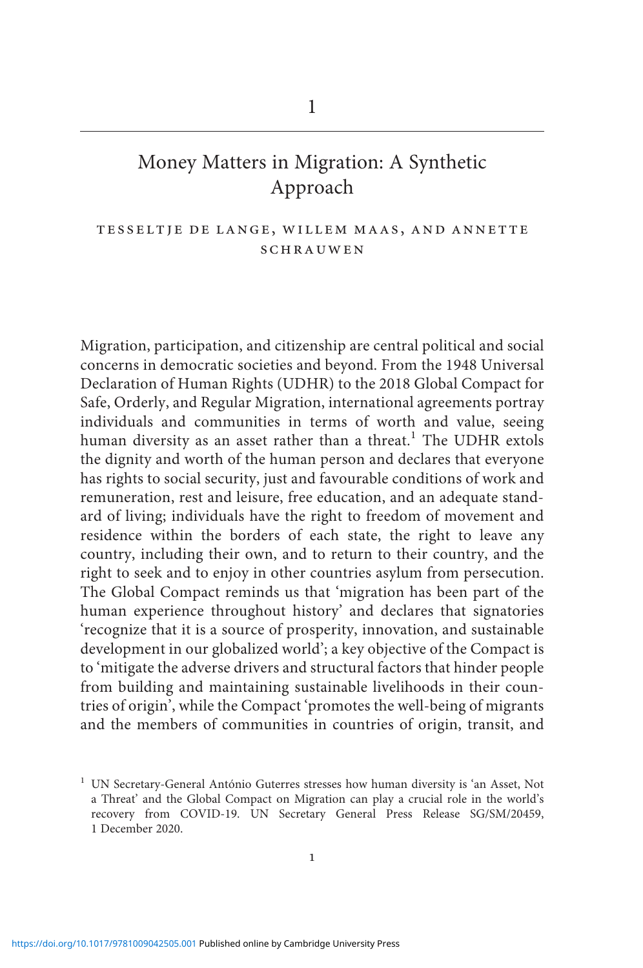### Money Matters in Migration: A Synthetic Approach

#### tesseltje de lange, willem maas, and annette schrauwen

Migration, participation, and citizenship are central political and social concerns in democratic societies and beyond. From the 1948 Universal Declaration of Human Rights (UDHR) to the 2018 Global Compact for Safe, Orderly, and Regular Migration, international agreements portray individuals and communities in terms of worth and value, seeing human diversity as an asset rather than a threat.<sup>1</sup> The UDHR extols the dignity and worth of the human person and declares that everyone has rights to social security, just and favourable conditions of work and remuneration, rest and leisure, free education, and an adequate standard of living; individuals have the right to freedom of movement and residence within the borders of each state, the right to leave any country, including their own, and to return to their country, and the right to seek and to enjoy in other countries asylum from persecution. The Global Compact reminds us that 'migration has been part of the human experience throughout history' and declares that signatories 'recognize that it is a source of prosperity, innovation, and sustainable development in our globalized world'; a key objective of the Compact is to 'mitigate the adverse drivers and structural factors that hinder people from building and maintaining sustainable livelihoods in their countries of origin', while the Compact 'promotes the well-being of migrants and the members of communities in countries of origin, transit, and

<sup>&</sup>lt;sup>1</sup> UN Secretary-General António Guterres stresses how human diversity is 'an Asset, Not a Threat' and the Global Compact on Migration can play a crucial role in the world's recovery from COVID-19. UN Secretary General Press Release SG/SM/20459, 1 December 2020.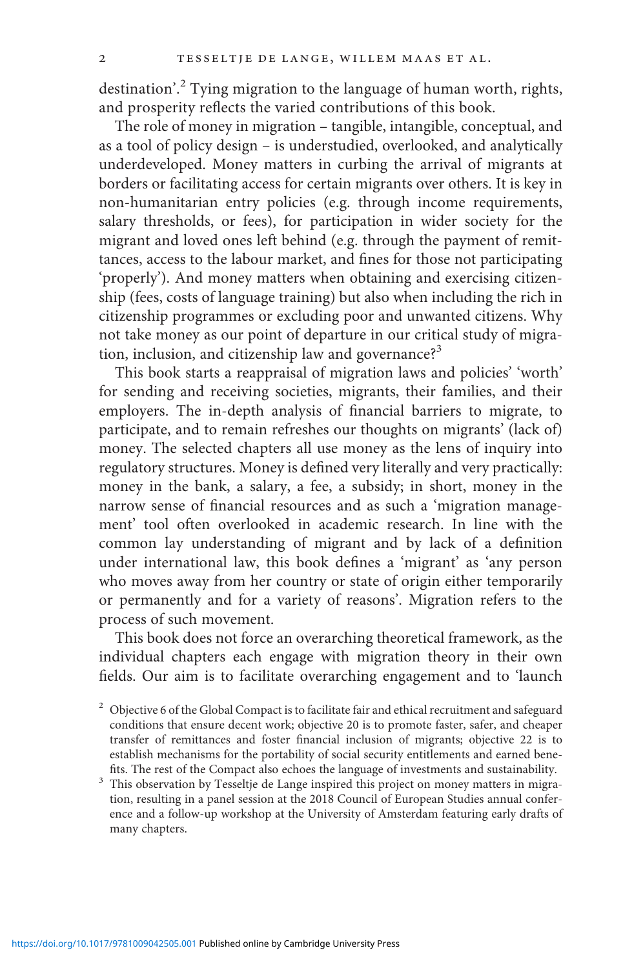destination'. <sup>2</sup> Tying migration to the language of human worth, rights, and prosperity reflects the varied contributions of this book.

The role of money in migration – tangible, intangible, conceptual, and as a tool of policy design – is understudied, overlooked, and analytically underdeveloped. Money matters in curbing the arrival of migrants at borders or facilitating access for certain migrants over others. It is key in non-humanitarian entry policies (e.g. through income requirements, salary thresholds, or fees), for participation in wider society for the migrant and loved ones left behind (e.g. through the payment of remittances, access to the labour market, and fines for those not participating 'properly'). And money matters when obtaining and exercising citizenship (fees, costs of language training) but also when including the rich in citizenship programmes or excluding poor and unwanted citizens. Why not take money as our point of departure in our critical study of migration, inclusion, and citizenship law and governance?<sup>3</sup>

This book starts a reappraisal of migration laws and policies' 'worth' for sending and receiving societies, migrants, their families, and their employers. The in-depth analysis of financial barriers to migrate, to participate, and to remain refreshes our thoughts on migrants' (lack of) money. The selected chapters all use money as the lens of inquiry into regulatory structures. Money is defined very literally and very practically: money in the bank, a salary, a fee, a subsidy; in short, money in the narrow sense of financial resources and as such a 'migration management' tool often overlooked in academic research. In line with the common lay understanding of migrant and by lack of a definition under international law, this book defines a 'migrant' as 'any person who moves away from her country or state of origin either temporarily or permanently and for a variety of reasons'. Migration refers to the process of such movement.

This book does not force an overarching theoretical framework, as the individual chapters each engage with migration theory in their own fields. Our aim is to facilitate overarching engagement and to 'launch

<sup>3</sup> This observation by Tesseltje de Lange inspired this project on money matters in migration, resulting in a panel session at the 2018 Council of European Studies annual conference and a follow-up workshop at the University of Amsterdam featuring early drafts of many chapters.

 $2$  Objective 6 of the Global Compact is to facilitate fair and ethical recruitment and safeguard conditions that ensure decent work; objective 20 is to promote faster, safer, and cheaper transfer of remittances and foster financial inclusion of migrants; objective 22 is to establish mechanisms for the portability of social security entitlements and earned bene-<br>fits. The rest of the Compact also echoes the language of investments and sustainability.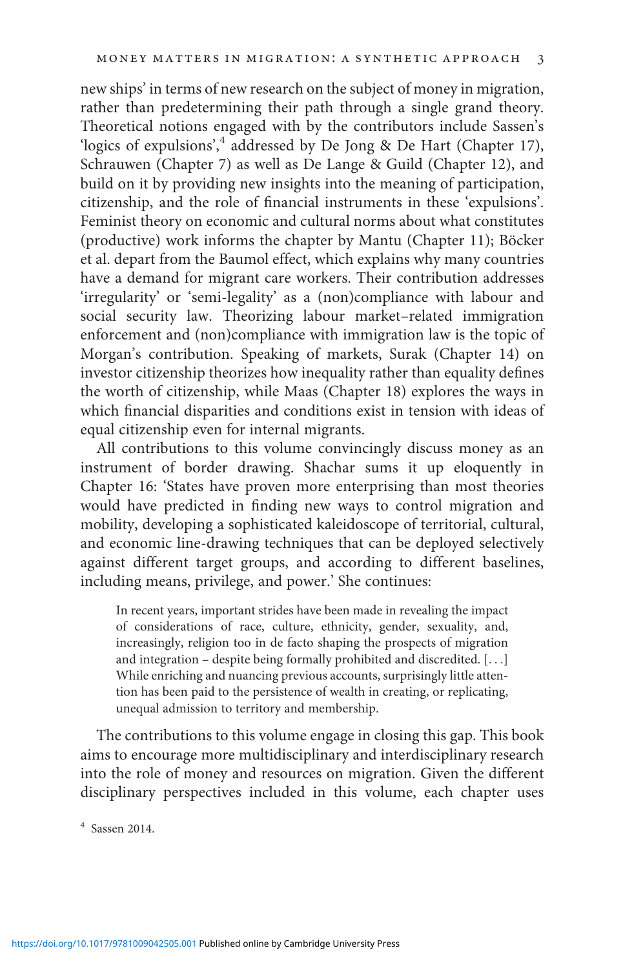new ships' in terms of new research on the subject of money in migration, rather than predetermining their path through a single grand theory. Theoretical notions engaged with by the contributors include Sassen's 'logics of expulsions',<sup>4</sup> addressed by De Jong & De Hart (Chapter 17), Schrauwen (Chapter 7) as well as De Lange & Guild (Chapter 12), and build on it by providing new insights into the meaning of participation, citizenship, and the role of financial instruments in these 'expulsions'. Feminist theory on economic and cultural norms about what constitutes (productive) work informs the chapter by Mantu (Chapter 11); Böcker et al. depart from the Baumol effect, which explains why many countries have a demand for migrant care workers. Their contribution addresses 'irregularity' or 'semi-legality' as a (non)compliance with labour and social security law. Theorizing labour market–related immigration enforcement and (non)compliance with immigration law is the topic of Morgan's contribution. Speaking of markets, Surak (Chapter 14) on investor citizenship theorizes how inequality rather than equality defines the worth of citizenship, while Maas (Chapter 18) explores the ways in which financial disparities and conditions exist in tension with ideas of equal citizenship even for internal migrants.

All contributions to this volume convincingly discuss money as an instrument of border drawing. Shachar sums it up eloquently in Chapter 16: 'States have proven more enterprising than most theories would have predicted in finding new ways to control migration and mobility, developing a sophisticated kaleidoscope of territorial, cultural, and economic line-drawing techniques that can be deployed selectively against different target groups, and according to different baselines, including means, privilege, and power.' She continues:

In recent years, important strides have been made in revealing the impact of considerations of race, culture, ethnicity, gender, sexuality, and, increasingly, religion too in de facto shaping the prospects of migration and integration – despite being formally prohibited and discredited. [...] While enriching and nuancing previous accounts, surprisingly little attention has been paid to the persistence of wealth in creating, or replicating, unequal admission to territory and membership.

The contributions to this volume engage in closing this gap. This book aims to encourage more multidisciplinary and interdisciplinary research into the role of money and resources on migration. Given the different disciplinary perspectives included in this volume, each chapter uses

<sup>4</sup> Sassen 2014.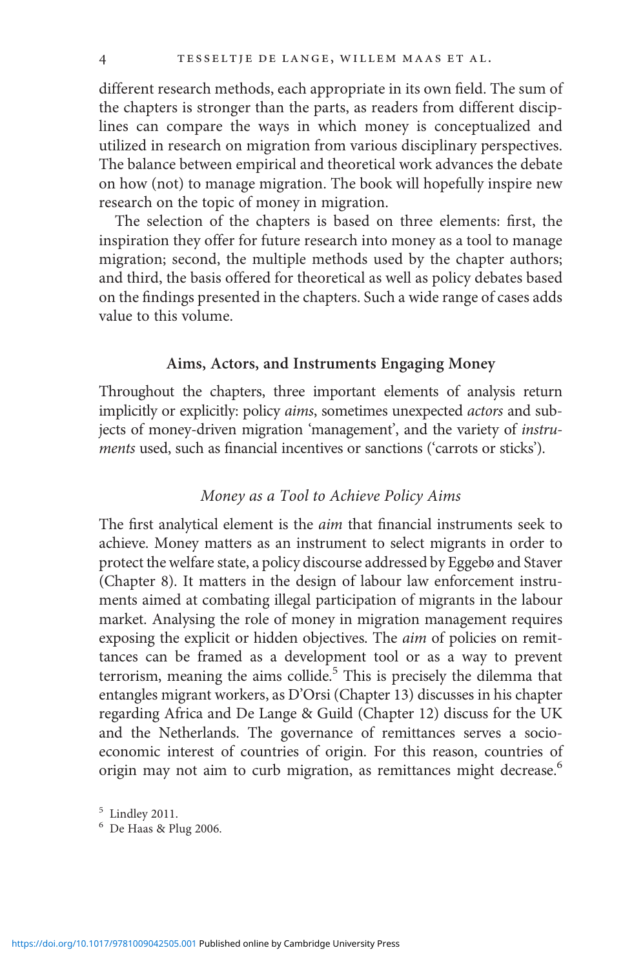different research methods, each appropriate in its own field. The sum of the chapters is stronger than the parts, as readers from different disciplines can compare the ways in which money is conceptualized and utilized in research on migration from various disciplinary perspectives. The balance between empirical and theoretical work advances the debate on how (not) to manage migration. The book will hopefully inspire new research on the topic of money in migration.

The selection of the chapters is based on three elements: first, the inspiration they offer for future research into money as a tool to manage migration; second, the multiple methods used by the chapter authors; and third, the basis offered for theoretical as well as policy debates based on the findings presented in the chapters. Such a wide range of cases adds value to this volume.

#### Aims, Actors, and Instruments Engaging Money

Throughout the chapters, three important elements of analysis return implicitly or explicitly: policy aims, sometimes unexpected actors and subjects of money-driven migration 'management', and the variety of instruments used, such as financial incentives or sanctions ('carrots or sticks').

#### Money as a Tool to Achieve Policy Aims

The first analytical element is the *aim* that financial instruments seek to achieve. Money matters as an instrument to select migrants in order to protect the welfare state, a policy discourse addressed by Eggebø and Staver (Chapter 8). It matters in the design of labour law enforcement instruments aimed at combating illegal participation of migrants in the labour market. Analysing the role of money in migration management requires exposing the explicit or hidden objectives. The aim of policies on remittances can be framed as a development tool or as a way to prevent terrorism, meaning the aims collide.<sup>5</sup> This is precisely the dilemma that entangles migrant workers, as D'Orsi (Chapter 13) discusses in his chapter regarding Africa and De Lange & Guild (Chapter 12) discuss for the UK and the Netherlands. The governance of remittances serves a socioeconomic interest of countries of origin. For this reason, countries of origin may not aim to curb migration, as remittances might decrease.<sup>6</sup>

 $\frac{5}{6}$  Lindley 2011.<br> $\frac{6}{6}$  De Haas & Plug 2006.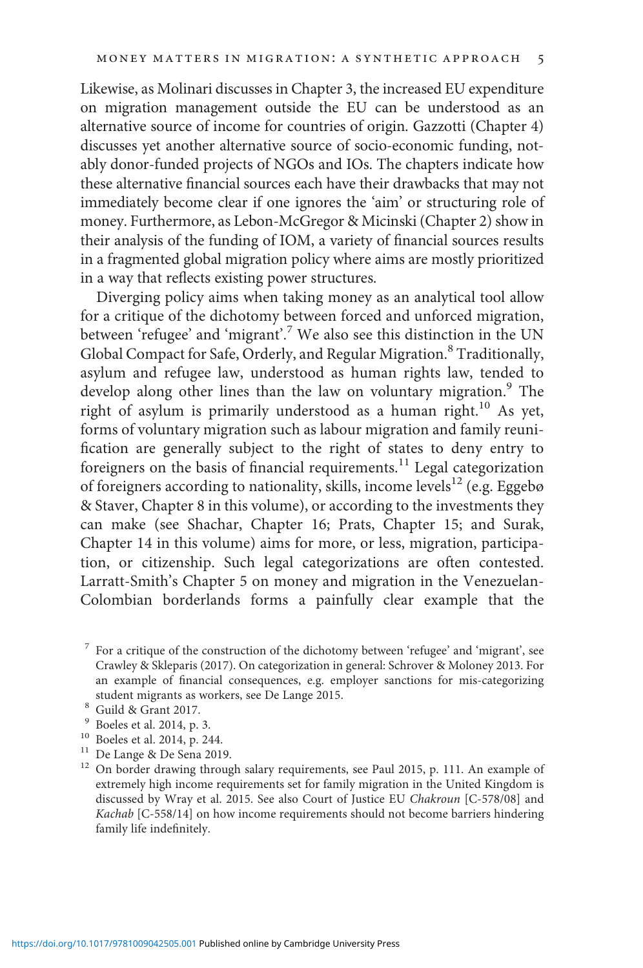Likewise, as Molinari discusses in Chapter 3, the increased EU expenditure on migration management outside the EU can be understood as an alternative source of income for countries of origin. Gazzotti (Chapter 4) discusses yet another alternative source of socio-economic funding, notably donor-funded projects of NGOs and IOs. The chapters indicate how these alternative financial sources each have their drawbacks that may not immediately become clear if one ignores the 'aim' or structuring role of money. Furthermore, as Lebon-McGregor & Micinski (Chapter 2) show in their analysis of the funding of IOM, a variety of financial sources results in a fragmented global migration policy where aims are mostly prioritized in a way that reflects existing power structures.

Diverging policy aims when taking money as an analytical tool allow for a critique of the dichotomy between forced and unforced migration, between 'refugee' and 'migrant'. <sup>7</sup> We also see this distinction in the UN Global Compact for Safe, Orderly, and Regular Migration.<sup>8</sup> Traditionally, asylum and refugee law, understood as human rights law, tended to develop along other lines than the law on voluntary migration.<sup>9</sup> The right of asylum is primarily understood as a human right.<sup>10</sup> As yet, forms of voluntary migration such as labour migration and family reunification are generally subject to the right of states to deny entry to foreigners on the basis of financial requirements.<sup>11</sup> Legal categorization of foreigners according to nationality, skills, income levels<sup>12</sup> (e.g. Eggebø & Staver, Chapter 8 in this volume), or according to the investments they can make (see Shachar, Chapter 16; Prats, Chapter 15; and Surak, Chapter 14 in this volume) aims for more, or less, migration, participation, or citizenship. Such legal categorizations are often contested. Larratt-Smith's Chapter 5 on money and migration in the Venezuelan-Colombian borderlands forms a painfully clear example that the

- 
- 
- 
- 
- extremely high income requirements set for family migration in the United Kingdom is discussed by Wray et al. 2015. See also Court of Justice EU Chakroun [C-578/08] and Kachab [C-558/14] on how income requirements should not become barriers hindering family life indefinitely.

 $7$  For a critique of the construction of the dichotomy between 'refugee' and 'migrant', see Crawley & Skleparis (2017). On categorization in general: Schrover & Moloney 2013. For an example of financial consequences, e.g. employer sanctions for mis-categorizing student migrants as workers, see De Lange 2015.<br><sup>8</sup> Guild & Grant 2017.<br><sup>9</sup> Boeles et al. 2014, p. 3.<br><sup>10</sup> Boeles et al. 2014, p. 244.<br><sup>11</sup> De Lange & De Sena 2019.<br><sup>12</sup> On border drawing through salary requirements, see P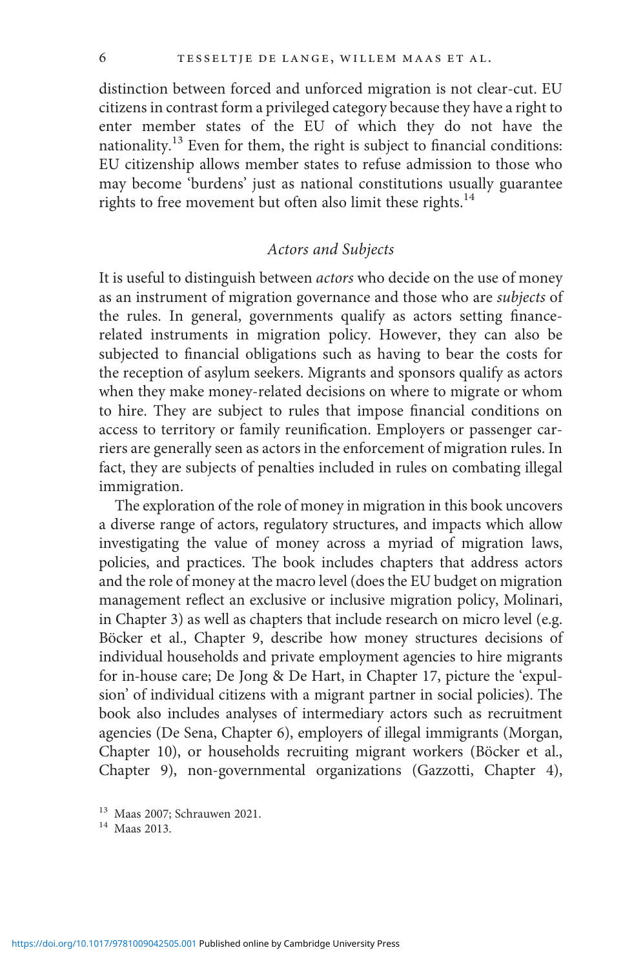distinction between forced and unforced migration is not clear-cut. EU citizens in contrast form a privileged category because they have a right to enter member states of the EU of which they do not have the nationality.<sup>13</sup> Even for them, the right is subject to financial conditions: EU citizenship allows member states to refuse admission to those who may become 'burdens' just as national constitutions usually guarantee rights to free movement but often also limit these rights.<sup>14</sup>

#### Actors and Subjects

It is useful to distinguish between actors who decide on the use of money as an instrument of migration governance and those who are subjects of the rules. In general, governments qualify as actors setting financerelated instruments in migration policy. However, they can also be subjected to financial obligations such as having to bear the costs for the reception of asylum seekers. Migrants and sponsors qualify as actors when they make money-related decisions on where to migrate or whom to hire. They are subject to rules that impose financial conditions on access to territory or family reunification. Employers or passenger carriers are generally seen as actors in the enforcement of migration rules. In fact, they are subjects of penalties included in rules on combating illegal immigration.

The exploration of the role of money in migration in this book uncovers a diverse range of actors, regulatory structures, and impacts which allow investigating the value of money across a myriad of migration laws, policies, and practices. The book includes chapters that address actors and the role of money at the macro level (does the EU budget on migration management reflect an exclusive or inclusive migration policy, Molinari, in Chapter 3) as well as chapters that include research on micro level (e.g. Böcker et al., Chapter 9, describe how money structures decisions of individual households and private employment agencies to hire migrants for in-house care; De Jong & De Hart, in Chapter 17, picture the 'expulsion' of individual citizens with a migrant partner in social policies). The book also includes analyses of intermediary actors such as recruitment agencies (De Sena, Chapter 6), employers of illegal immigrants (Morgan, Chapter 10), or households recruiting migrant workers (Böcker et al., Chapter 9), non-governmental organizations (Gazzotti, Chapter 4),

<sup>&</sup>lt;sup>13</sup> Maas 2007; Schrauwen 2021.<br><sup>14</sup> Maas 2013.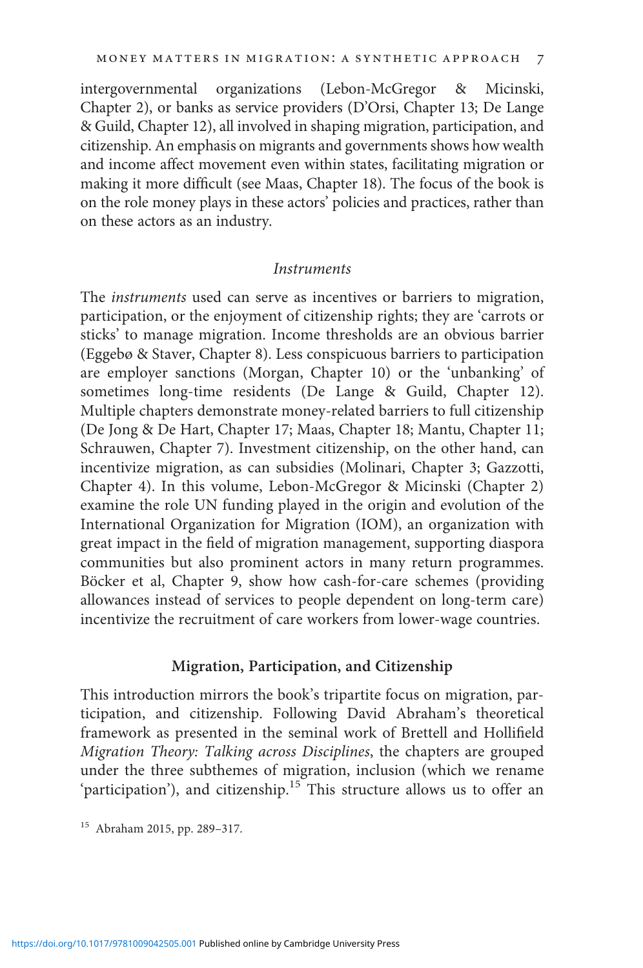intergovernmental organizations (Lebon-McGregor & Micinski, Chapter 2), or banks as service providers (D'Orsi, Chapter 13; De Lange & Guild, Chapter 12), all involved in shaping migration, participation, and citizenship. An emphasis on migrants and governments shows how wealth and income affect movement even within states, facilitating migration or making it more difficult (see Maas, Chapter 18). The focus of the book is on the role money plays in these actors' policies and practices, rather than on these actors as an industry.

#### Instruments

The instruments used can serve as incentives or barriers to migration, participation, or the enjoyment of citizenship rights; they are 'carrots or sticks' to manage migration. Income thresholds are an obvious barrier (Eggebø & Staver, Chapter 8). Less conspicuous barriers to participation are employer sanctions (Morgan, Chapter 10) or the 'unbanking' of sometimes long-time residents (De Lange & Guild, Chapter 12). Multiple chapters demonstrate money-related barriers to full citizenship (De Jong & De Hart, Chapter 17; Maas, Chapter 18; Mantu, Chapter 11; Schrauwen, Chapter 7). Investment citizenship, on the other hand, can incentivize migration, as can subsidies (Molinari, Chapter 3; Gazzotti, Chapter 4). In this volume, Lebon-McGregor & Micinski (Chapter 2) examine the role UN funding played in the origin and evolution of the International Organization for Migration (IOM), an organization with great impact in the field of migration management, supporting diaspora communities but also prominent actors in many return programmes. Böcker et al, Chapter 9, show how cash-for-care schemes (providing allowances instead of services to people dependent on long-term care) incentivize the recruitment of care workers from lower-wage countries.

#### Migration, Participation, and Citizenship

This introduction mirrors the book's tripartite focus on migration, participation, and citizenship. Following David Abraham's theoretical framework as presented in the seminal work of Brettell and Hollifield Migration Theory: Talking across Disciplines, the chapters are grouped under the three subthemes of migration, inclusion (which we rename 'participation'), and citizenship.<sup>15</sup> This structure allows us to offer an

<sup>15</sup> Abraham 2015, pp. 289–317.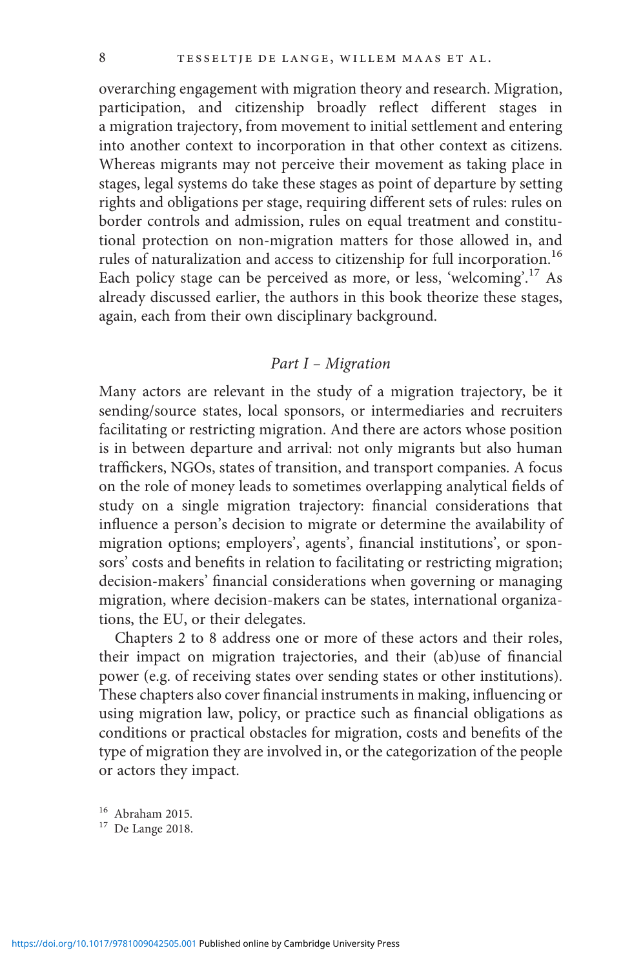overarching engagement with migration theory and research. Migration, participation, and citizenship broadly reflect different stages in a migration trajectory, from movement to initial settlement and entering into another context to incorporation in that other context as citizens. Whereas migrants may not perceive their movement as taking place in stages, legal systems do take these stages as point of departure by setting rights and obligations per stage, requiring different sets of rules: rules on border controls and admission, rules on equal treatment and constitutional protection on non-migration matters for those allowed in, and rules of naturalization and access to citizenship for full incorporation.<sup>16</sup> Each policy stage can be perceived as more, or less, 'welcoming'. <sup>17</sup> As already discussed earlier, the authors in this book theorize these stages, again, each from their own disciplinary background.

#### Part I – Migration

Many actors are relevant in the study of a migration trajectory, be it sending/source states, local sponsors, or intermediaries and recruiters facilitating or restricting migration. And there are actors whose position is in between departure and arrival: not only migrants but also human traffickers, NGOs, states of transition, and transport companies. A focus on the role of money leads to sometimes overlapping analytical fields of study on a single migration trajectory: financial considerations that influence a person's decision to migrate or determine the availability of migration options; employers', agents', financial institutions', or sponsors' costs and benefits in relation to facilitating or restricting migration; decision-makers' financial considerations when governing or managing migration, where decision-makers can be states, international organizations, the EU, or their delegates.

Chapters 2 to 8 address one or more of these actors and their roles, their impact on migration trajectories, and their (ab)use of financial power (e.g. of receiving states over sending states or other institutions). These chapters also cover financial instruments in making, influencing or using migration law, policy, or practice such as financial obligations as conditions or practical obstacles for migration, costs and benefits of the type of migration they are involved in, or the categorization of the people or actors they impact.

 $^{16}\,$  Abraham 2015. 17 De Lange 2018.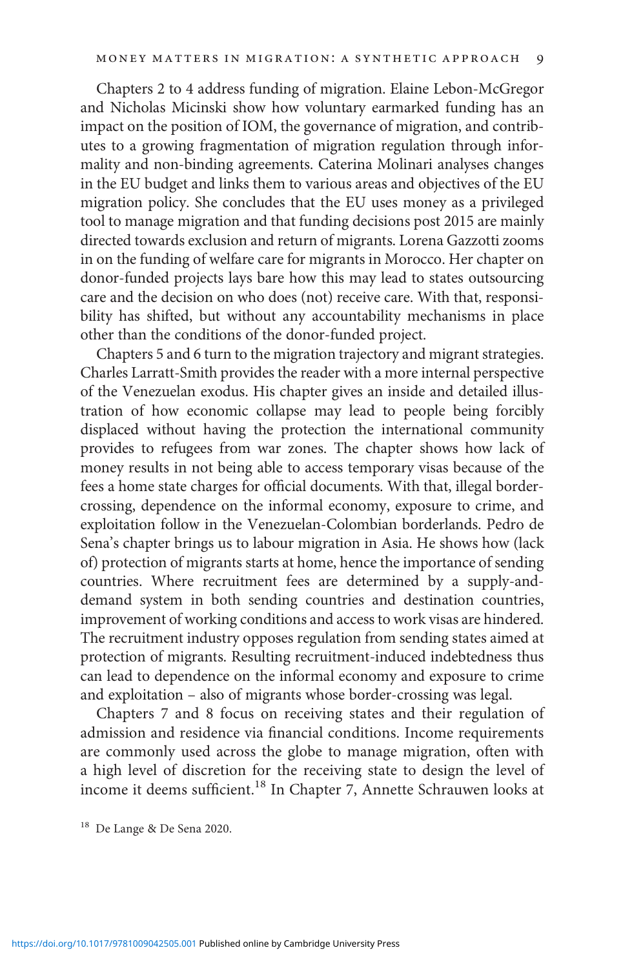Chapters 2 to 4 address funding of migration. Elaine Lebon-McGregor and Nicholas Micinski show how voluntary earmarked funding has an impact on the position of IOM, the governance of migration, and contributes to a growing fragmentation of migration regulation through informality and non-binding agreements. Caterina Molinari analyses changes in the EU budget and links them to various areas and objectives of the EU migration policy. She concludes that the EU uses money as a privileged tool to manage migration and that funding decisions post 2015 are mainly directed towards exclusion and return of migrants. Lorena Gazzotti zooms in on the funding of welfare care for migrants in Morocco. Her chapter on donor-funded projects lays bare how this may lead to states outsourcing care and the decision on who does (not) receive care. With that, responsibility has shifted, but without any accountability mechanisms in place other than the conditions of the donor-funded project.

Chapters 5 and 6 turn to the migration trajectory and migrant strategies. Charles Larratt-Smith provides the reader with a more internal perspective of the Venezuelan exodus. His chapter gives an inside and detailed illustration of how economic collapse may lead to people being forcibly displaced without having the protection the international community provides to refugees from war zones. The chapter shows how lack of money results in not being able to access temporary visas because of the fees a home state charges for official documents. With that, illegal bordercrossing, dependence on the informal economy, exposure to crime, and exploitation follow in the Venezuelan-Colombian borderlands. Pedro de Sena's chapter brings us to labour migration in Asia. He shows how (lack of) protection of migrants starts at home, hence the importance of sending countries. Where recruitment fees are determined by a supply-anddemand system in both sending countries and destination countries, improvement of working conditions and access to work visas are hindered. The recruitment industry opposes regulation from sending states aimed at protection of migrants. Resulting recruitment-induced indebtedness thus can lead to dependence on the informal economy and exposure to crime and exploitation – also of migrants whose border-crossing was legal.

Chapters 7 and 8 focus on receiving states and their regulation of admission and residence via financial conditions. Income requirements are commonly used across the globe to manage migration, often with a high level of discretion for the receiving state to design the level of income it deems sufficient.<sup>18</sup> In Chapter 7, Annette Schrauwen looks at

<sup>18</sup> De Lange & De Sena 2020.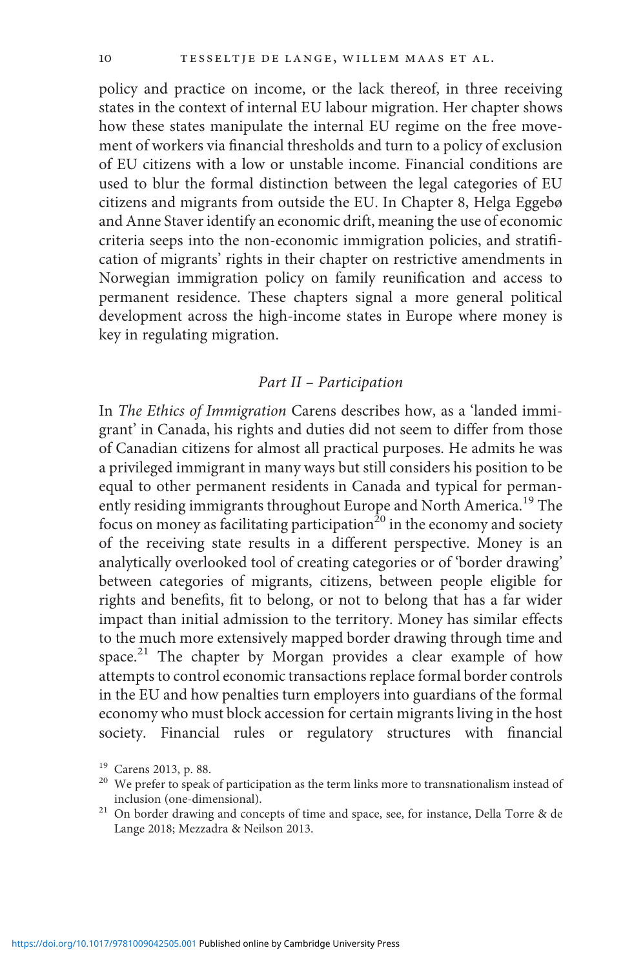policy and practice on income, or the lack thereof, in three receiving states in the context of internal EU labour migration. Her chapter shows how these states manipulate the internal EU regime on the free movement of workers via financial thresholds and turn to a policy of exclusion of EU citizens with a low or unstable income. Financial conditions are used to blur the formal distinction between the legal categories of EU citizens and migrants from outside the EU. In Chapter 8, Helga Eggebø and Anne Staver identify an economic drift, meaning the use of economic criteria seeps into the non-economic immigration policies, and stratification of migrants' rights in their chapter on restrictive amendments in Norwegian immigration policy on family reunification and access to permanent residence. These chapters signal a more general political development across the high-income states in Europe where money is key in regulating migration.

#### Part II – Participation

In The Ethics of Immigration Carens describes how, as a 'landed immigrant' in Canada, his rights and duties did not seem to differ from those of Canadian citizens for almost all practical purposes. He admits he was a privileged immigrant in many ways but still considers his position to be equal to other permanent residents in Canada and typical for permanently residing immigrants throughout Europe and North America.<sup>19</sup> The focus on money as facilitating participation<sup>20</sup> in the economy and society of the receiving state results in a different perspective. Money is an analytically overlooked tool of creating categories or of 'border drawing' between categories of migrants, citizens, between people eligible for rights and benefits, fit to belong, or not to belong that has a far wider impact than initial admission to the territory. Money has similar effects to the much more extensively mapped border drawing through time and space.<sup>21</sup> The chapter by Morgan provides a clear example of how attempts to control economic transactions replace formal border controls in the EU and how penalties turn employers into guardians of the formal economy who must block accession for certain migrants living in the host society. Financial rules or regulatory structures with financial

<sup>&</sup>lt;sup>19</sup> Carens 2013, p. 88.<br><sup>20</sup> We prefer to speak of participation as the term links more to transnationalism instead of

inclusion (one-dimensional).  $21$  On border drawing and concepts of time and space, see, for instance, Della Torre & de Lange 2018; Mezzadra & Neilson 2013.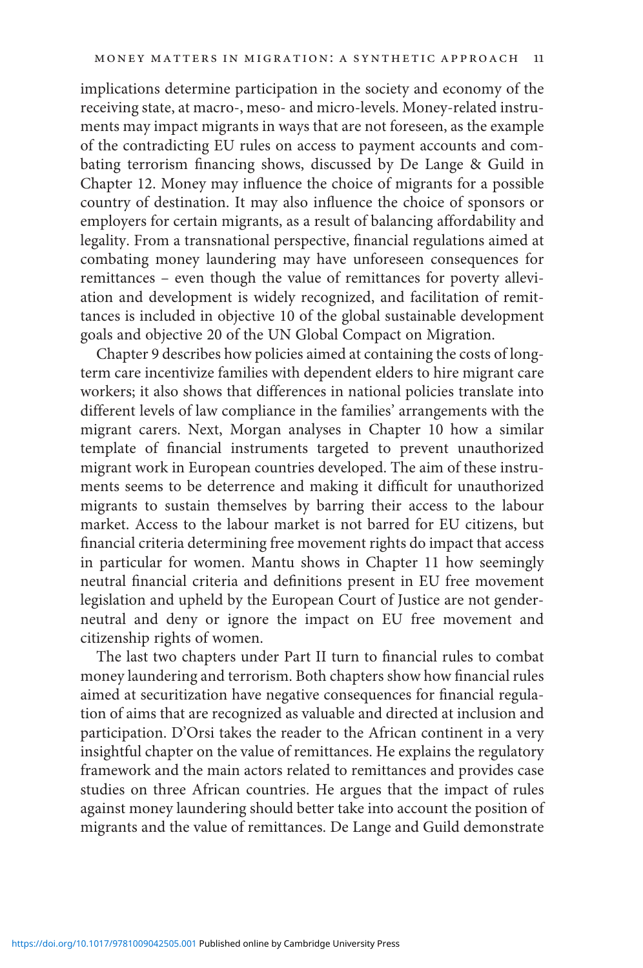implications determine participation in the society and economy of the receiving state, at macro-, meso- and micro-levels. Money-related instruments may impact migrants in ways that are not foreseen, as the example of the contradicting EU rules on access to payment accounts and combating terrorism financing shows, discussed by De Lange & Guild in Chapter 12. Money may influence the choice of migrants for a possible country of destination. It may also influence the choice of sponsors or employers for certain migrants, as a result of balancing affordability and legality. From a transnational perspective, financial regulations aimed at combating money laundering may have unforeseen consequences for remittances – even though the value of remittances for poverty alleviation and development is widely recognized, and facilitation of remittances is included in objective 10 of the global sustainable development goals and objective 20 of the UN Global Compact on Migration.

Chapter 9 describes how policies aimed at containing the costs of longterm care incentivize families with dependent elders to hire migrant care workers; it also shows that differences in national policies translate into different levels of law compliance in the families' arrangements with the migrant carers. Next, Morgan analyses in Chapter 10 how a similar template of financial instruments targeted to prevent unauthorized migrant work in European countries developed. The aim of these instruments seems to be deterrence and making it difficult for unauthorized migrants to sustain themselves by barring their access to the labour market. Access to the labour market is not barred for EU citizens, but financial criteria determining free movement rights do impact that access in particular for women. Mantu shows in Chapter 11 how seemingly neutral financial criteria and definitions present in EU free movement legislation and upheld by the European Court of Justice are not genderneutral and deny or ignore the impact on EU free movement and citizenship rights of women.

The last two chapters under Part II turn to financial rules to combat money laundering and terrorism. Both chapters show how financial rules aimed at securitization have negative consequences for financial regulation of aims that are recognized as valuable and directed at inclusion and participation. D'Orsi takes the reader to the African continent in a very insightful chapter on the value of remittances. He explains the regulatory framework and the main actors related to remittances and provides case studies on three African countries. He argues that the impact of rules against money laundering should better take into account the position of migrants and the value of remittances. De Lange and Guild demonstrate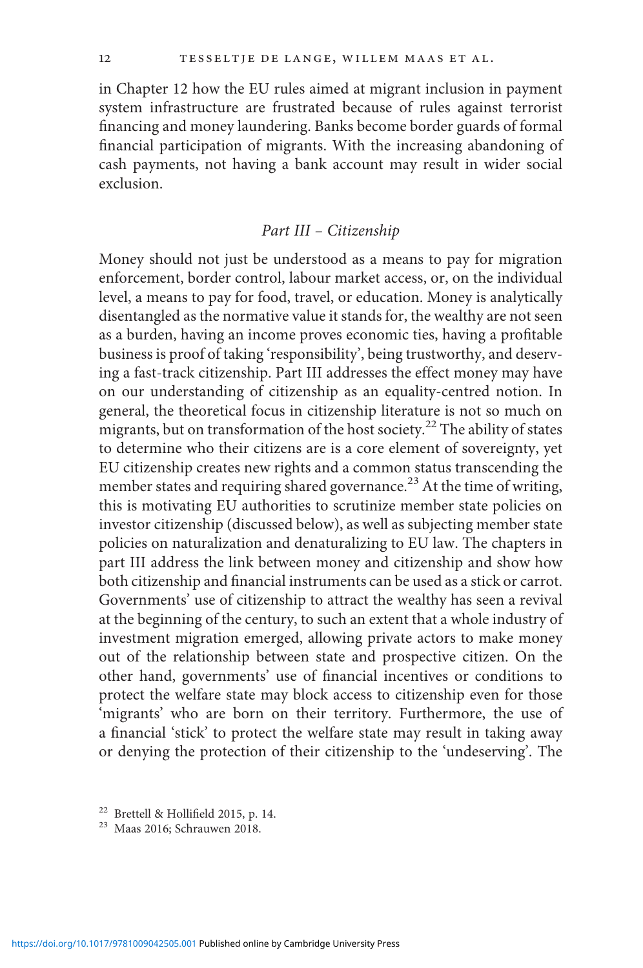in Chapter 12 how the EU rules aimed at migrant inclusion in payment system infrastructure are frustrated because of rules against terrorist financing and money laundering. Banks become border guards of formal financial participation of migrants. With the increasing abandoning of cash payments, not having a bank account may result in wider social exclusion.

#### Part III – Citizenship

Money should not just be understood as a means to pay for migration enforcement, border control, labour market access, or, on the individual level, a means to pay for food, travel, or education. Money is analytically disentangled as the normative value it stands for, the wealthy are not seen as a burden, having an income proves economic ties, having a profitable business is proof of taking 'responsibility', being trustworthy, and deserving a fast-track citizenship. Part III addresses the effect money may have on our understanding of citizenship as an equality-centred notion. In general, the theoretical focus in citizenship literature is not so much on migrants, but on transformation of the host society.<sup>22</sup> The ability of states to determine who their citizens are is a core element of sovereignty, yet EU citizenship creates new rights and a common status transcending the member states and requiring shared governance.<sup>23</sup> At the time of writing, this is motivating EU authorities to scrutinize member state policies on investor citizenship (discussed below), as well as subjecting member state policies on naturalization and denaturalizing to EU law. The chapters in part III address the link between money and citizenship and show how both citizenship and financial instruments can be used as a stick or carrot. Governments' use of citizenship to attract the wealthy has seen a revival at the beginning of the century, to such an extent that a whole industry of investment migration emerged, allowing private actors to make money out of the relationship between state and prospective citizen. On the other hand, governments' use of financial incentives or conditions to protect the welfare state may block access to citizenship even for those 'migrants' who are born on their territory. Furthermore, the use of a financial 'stick' to protect the welfare state may result in taking away or denying the protection of their citizenship to the 'undeserving'. The

<sup>&</sup>lt;sup>22</sup> Brettell & Hollifield 2015, p. 14.<br><sup>23</sup> Maas 2016; Schrauwen 2018.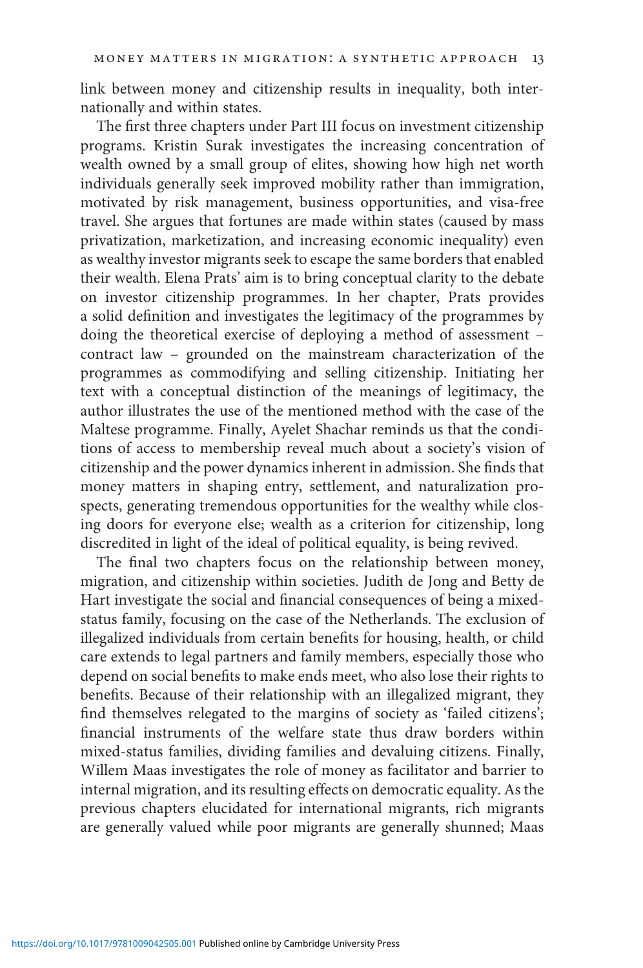link between money and citizenship results in inequality, both internationally and within states.

The first three chapters under Part III focus on investment citizenship programs. Kristin Surak investigates the increasing concentration of wealth owned by a small group of elites, showing how high net worth individuals generally seek improved mobility rather than immigration, motivated by risk management, business opportunities, and visa-free travel. She argues that fortunes are made within states (caused by mass privatization, marketization, and increasing economic inequality) even as wealthy investor migrants seek to escape the same borders that enabled their wealth. Elena Prats' aim is to bring conceptual clarity to the debate on investor citizenship programmes. In her chapter, Prats provides a solid definition and investigates the legitimacy of the programmes by doing the theoretical exercise of deploying a method of assessment – contract law – grounded on the mainstream characterization of the programmes as commodifying and selling citizenship. Initiating her text with a conceptual distinction of the meanings of legitimacy, the author illustrates the use of the mentioned method with the case of the Maltese programme. Finally, Ayelet Shachar reminds us that the conditions of access to membership reveal much about a society's vision of citizenship and the power dynamics inherent in admission. She finds that money matters in shaping entry, settlement, and naturalization prospects, generating tremendous opportunities for the wealthy while closing doors for everyone else; wealth as a criterion for citizenship, long discredited in light of the ideal of political equality, is being revived.

The final two chapters focus on the relationship between money, migration, and citizenship within societies. Judith de Jong and Betty de Hart investigate the social and financial consequences of being a mixedstatus family, focusing on the case of the Netherlands. The exclusion of illegalized individuals from certain benefits for housing, health, or child care extends to legal partners and family members, especially those who depend on social benefits to make ends meet, who also lose their rights to benefits. Because of their relationship with an illegalized migrant, they find themselves relegated to the margins of society as 'failed citizens'; financial instruments of the welfare state thus draw borders within mixed-status families, dividing families and devaluing citizens. Finally, Willem Maas investigates the role of money as facilitator and barrier to internal migration, and its resulting effects on democratic equality. As the previous chapters elucidated for international migrants, rich migrants are generally valued while poor migrants are generally shunned; Maas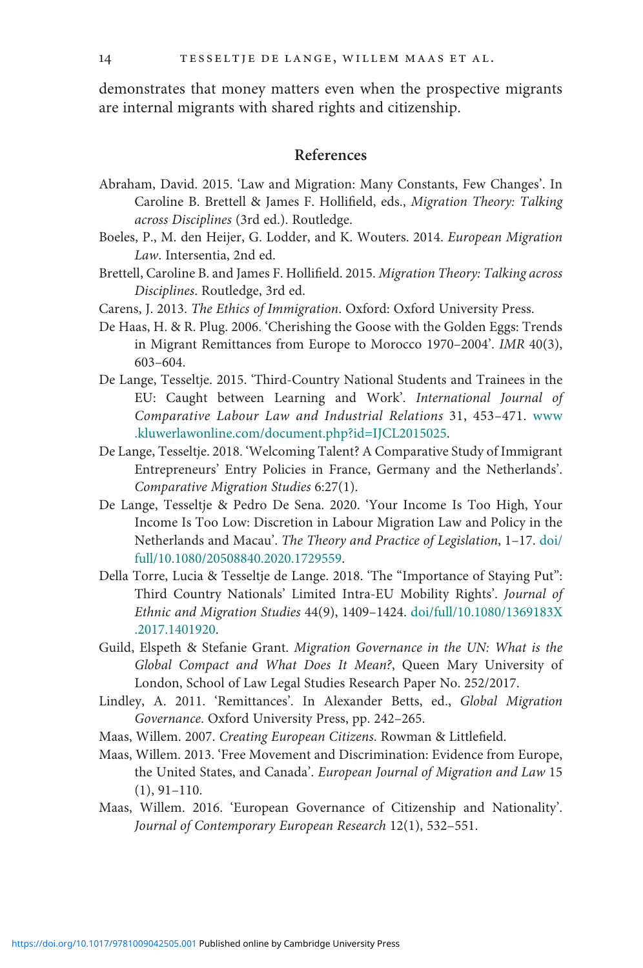demonstrates that money matters even when the prospective migrants are internal migrants with shared rights and citizenship.

#### References

- Abraham, David. 2015. 'Law and Migration: Many Constants, Few Changes'. In Caroline B. Brettell & James F. Hollifield, eds., Migration Theory: Talking across Disciplines (3rd ed.). Routledge.
- Boeles, P., M. den Heijer, G. Lodder, and K. Wouters. 2014. European Migration Law. Intersentia, 2nd ed.
- Brettell, Caroline B. and James F. Hollifield. 2015. Migration Theory: Talking across Disciplines. Routledge, 3rd ed.
- Carens, J. 2013. The Ethics of Immigration. Oxford: Oxford University Press.
- De Haas, H. & R. Plug. 2006. 'Cherishing the Goose with the Golden Eggs: Trends in Migrant Remittances from Europe to Morocco 1970–2004'. IMR 40(3), 603–604.
- De Lange, Tesseltje. 2015. 'Third-Country National Students and Trainees in the EU: Caught between Learning and Work'. International Journal of Comparative Labour Law and Industrial Relations 31, 453–471. [www](http://www.kluwerlawonline.com/document.php?id=IJCL2015025) [.kluwerlawonline.com/document.php?id=IJCL2015025](http://www.kluwerlawonline.com/document.php?id=IJCL2015025).
- De Lange, Tesseltje. 2018. 'Welcoming Talent? A Comparative Study of Immigrant Entrepreneurs' Entry Policies in France, Germany and the Netherlands'. Comparative Migration Studies 6:27(1).
- De Lange, Tesseltje & Pedro De Sena. 2020. 'Your Income Is Too High, Your Income Is Too Low: Discretion in Labour Migration Law and Policy in the Netherlands and Macau'. The Theory and Practice of Legislation, 1–17. [doi/](http://doi/full/10.1080/20508840.2020.1729559) [full/10.1080/20508840.2020.1729559](http://doi/full/10.1080/20508840.2020.1729559).
- Della Torre, Lucia & Tesseltje de Lange. 2018. 'The "Importance of Staying Put": Third Country Nationals' Limited Intra-EU Mobility Rights'. Journal of Ethnic and Migration Studies 44(9), 1409–1424. [doi/full/10.1080/1369183X](http://doi/full/10.1080/1369183X.2017.1401920) [.2017.1401920](http://doi/full/10.1080/1369183X.2017.1401920).
- Guild, Elspeth & Stefanie Grant. Migration Governance in the UN: What is the Global Compact and What Does It Mean?, Queen Mary University of London, School of Law Legal Studies Research Paper No. 252/2017.
- Lindley, A. 2011. 'Remittances'. In Alexander Betts, ed., Global Migration Governance. Oxford University Press, pp. 242–265.
- Maas, Willem. 2007. Creating European Citizens. Rowman & Littlefield.
- Maas, Willem. 2013. 'Free Movement and Discrimination: Evidence from Europe, the United States, and Canada'. European Journal of Migration and Law 15 (1), 91–110.
- Maas, Willem. 2016. 'European Governance of Citizenship and Nationality'. Journal of Contemporary European Research 12(1), 532–551.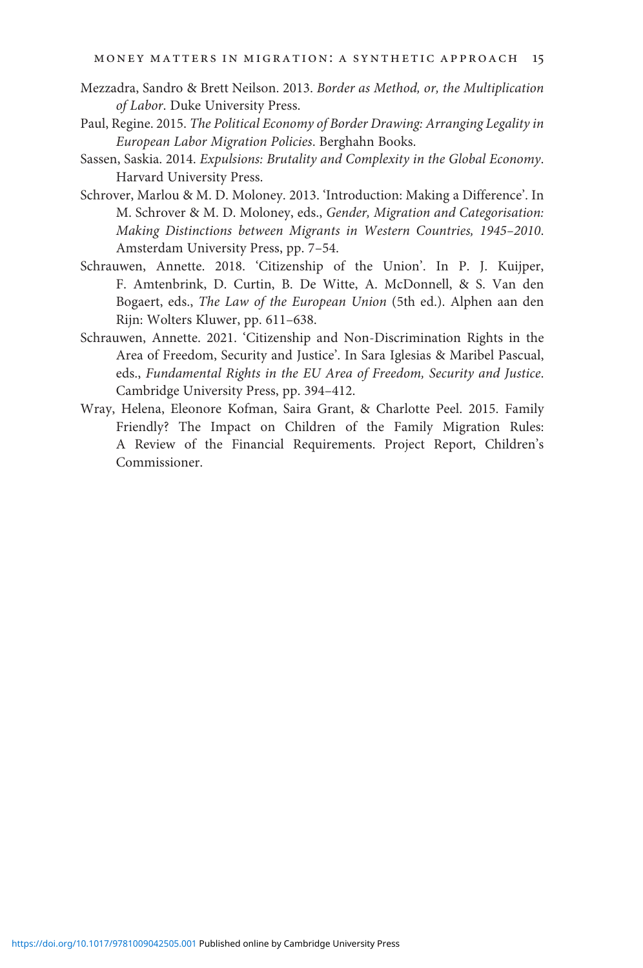- Mezzadra, Sandro & Brett Neilson. 2013. Border as Method, or, the Multiplication of Labor. Duke University Press.
- Paul, Regine. 2015. The Political Economy of Border Drawing: Arranging Legality in European Labor Migration Policies. Berghahn Books.
- Sassen, Saskia. 2014. Expulsions: Brutality and Complexity in the Global Economy. Harvard University Press.
- Schrover, Marlou & M. D. Moloney. 2013. 'Introduction: Making a Difference'. In M. Schrover & M. D. Moloney, eds., Gender, Migration and Categorisation: Making Distinctions between Migrants in Western Countries, 1945–2010. Amsterdam University Press, pp. 7–54.
- Schrauwen, Annette. 2018. 'Citizenship of the Union'. In P. J. Kuijper, F. Amtenbrink, D. Curtin, B. De Witte, A. McDonnell, & S. Van den Bogaert, eds., The Law of the European Union (5th ed.). Alphen aan den Rijn: Wolters Kluwer, pp. 611–638.
- Schrauwen, Annette. 2021. 'Citizenship and Non-Discrimination Rights in the Area of Freedom, Security and Justice'. In Sara Iglesias & Maribel Pascual, eds., Fundamental Rights in the EU Area of Freedom, Security and Justice. Cambridge University Press, pp. 394–412.
- Wray, Helena, Eleonore Kofman, Saira Grant, & Charlotte Peel. 2015. Family Friendly? The Impact on Children of the Family Migration Rules: A Review of the Financial Requirements. Project Report, Children's Commissioner.